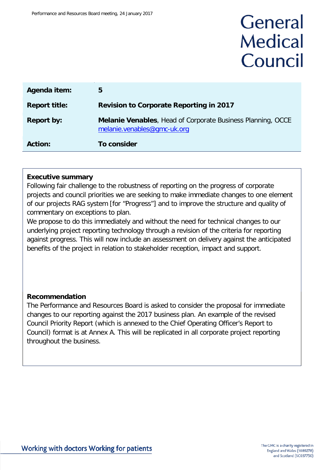# General **Medical** Council

| Agenda item:         | 5                                                                                                 |
|----------------------|---------------------------------------------------------------------------------------------------|
| <b>Report title:</b> | <b>Revision to Corporate Reporting in 2017</b>                                                    |
| <b>Report by:</b>    | <b>Melanie Venables, Head of Corporate Business Planning, OCCE</b><br>melanie.venables@gmc-uk.org |
| <b>Action:</b>       | To consider                                                                                       |

#### **Executive summary**

Following fair challenge to the robustness of reporting on the progress of corporate projects and council priorities we are seeking to make immediate changes to one element of our projects RAG system [for "Progress"] and to improve the structure and quality of commentary on exceptions to plan.

We propose to do this immediately and without the need for technical changes to our underlying project reporting technology through a revision of the criteria for reporting against progress. This will now include an assessment on delivery against the anticipated benefits of the project in relation to stakeholder reception, impact and support.

#### **Recommendation**

The Performance and Resources Board is asked to consider the proposal for immediate changes to our reporting against the 2017 business plan. An example of the revised Council Priority Report (which is annexed to the Chief Operating Officer's Report to Council) format is at Annex A. This will be replicated in all corporate project reporting throughout the business.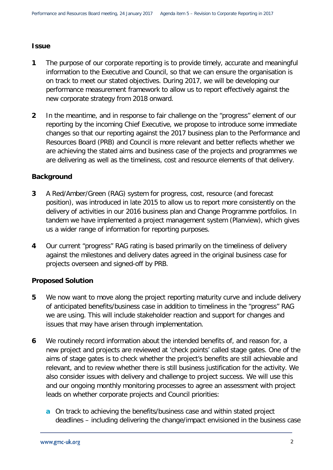#### **Issue**

- **1** The purpose of our corporate reporting is to provide timely, accurate and meaningful information to the Executive and Council, so that we can ensure the organisation is on track to meet our stated objectives. During 2017, we will be developing our performance measurement framework to allow us to report effectively against the new corporate strategy from 2018 onward.
- **2** In the meantime, and in response to fair challenge on the "progress" element of our reporting by the incoming Chief Executive, we propose to introduce some immediate changes so that our reporting against the 2017 business plan to the Performance and Resources Board (PRB) and Council is more relevant and better reflects whether we are achieving the stated aims and business case of the projects and programmes we are delivering as well as the timeliness, cost and resource elements of that delivery.

#### **Background**

- **3** A Red/Amber/Green (RAG) system for progress, cost, resource (and forecast position), was introduced in late 2015 to allow us to report more consistently on the delivery of activities in our 2016 business plan and Change Programme portfolios. In tandem we have implemented a project management system (Planview), which gives us a wider range of information for reporting purposes.
- **4** Our current "progress" RAG rating is based primarily on the timeliness of delivery against the milestones and delivery dates agreed in the original business case for projects overseen and signed-off by PRB.

#### **Proposed Solution**

- **5** We now want to move along the project reporting maturity curve and include delivery of anticipated benefits/business case in addition to timeliness in the "progress" RAG we are using. This will include stakeholder reaction and support for changes and issues that may have arisen through implementation.
- **6** We routinely record information about the intended benefits of, and reason for, a new project and projects are reviewed at 'check points' called stage gates. One of the aims of stage gates is to check whether the project's benefits are still achievable and relevant, and to review whether there is still business justification for the activity. We also consider issues with delivery and challenge to project success. We will use this and our ongoing monthly monitoring processes to agree an assessment with project leads on whether corporate projects and Council priorities:
	- **a** On track to achieving the benefits/business case and within stated project deadlines – including delivering the change/impact envisioned in the business case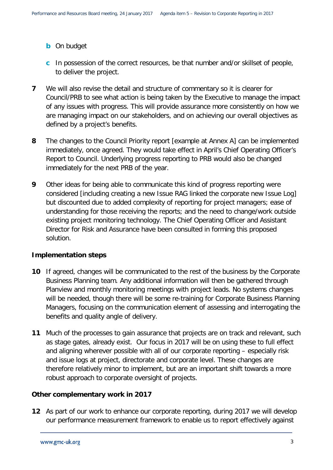#### **b** On budget

- **c** In possession of the correct resources, be that number and/or skillset of people, to deliver the project.
- **7** We will also revise the detail and structure of commentary so it is clearer for Council/PRB to see what action is being taken by the Executive to manage the impact of any issues with progress. This will provide assurance more consistently on how we are managing impact on our stakeholders, and on achieving our overall objectives as defined by a project's benefits.
- **8** The changes to the Council Priority report [example at Annex A] can be implemented immediately, once agreed. They would take effect in April's Chief Operating Officer's Report to Council. Underlying progress reporting to PRB would also be changed immediately for the next PRB of the year.
- **9** Other ideas for being able to communicate this kind of progress reporting were considered [including creating a new Issue RAG linked the corporate new Issue Log] but discounted due to added complexity of reporting for project managers; ease of understanding for those receiving the reports; and the need to change/work outside existing project monitoring technology. The Chief Operating Officer and Assistant Director for Risk and Assurance have been consulted in forming this proposed solution.

#### **Implementation steps**

- **10** If agreed, changes will be communicated to the rest of the business by the Corporate Business Planning team. Any additional information will then be gathered through Planview and monthly monitoring meetings with project leads. No systems changes will be needed, though there will be some re-training for Corporate Business Planning Managers, focusing on the communication element of assessing and interrogating the benefits and quality angle of delivery.
- **11** Much of the processes to gain assurance that projects are on track and relevant, such as stage gates, already exist. Our focus in 2017 will be on using these to full effect and aligning wherever possible with all of our corporate reporting – especially risk and issue logs at project, directorate and corporate level. These changes are therefore relatively minor to implement, but are an important shift towards a more robust approach to corporate oversight of projects.

#### **Other complementary work in 2017**

**12** As part of our work to enhance our corporate reporting, during 2017 we will develop our performance measurement framework to enable us to report effectively against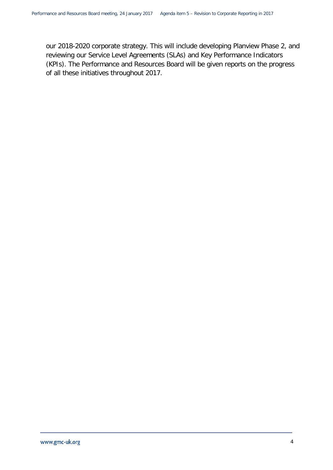our 2018-2020 corporate strategy. This will include developing Planview Phase 2, and reviewing our Service Level Agreements (SLAs) and Key Performance Indicators (KPIs). The Performance and Resources Board will be given reports on the progress of all these initiatives throughout 2017.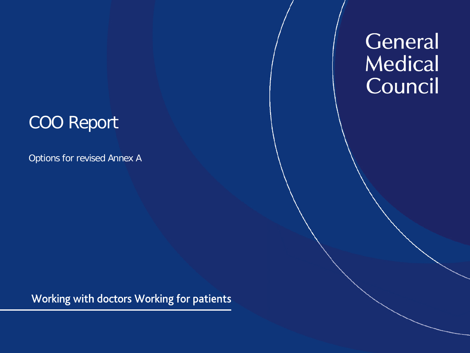## General **Medical** Council

### COO Report

Options for revised Annex A

Working with doctors Working for patients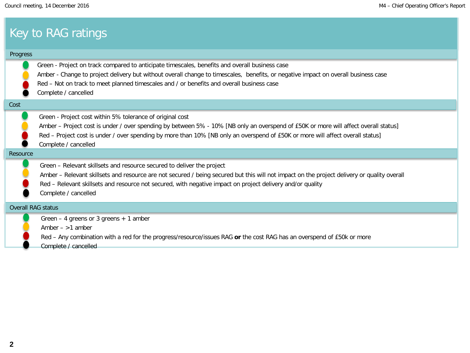### Key to RAG ratings

#### Progress **Resource** Overall RAG status Green - Project on track compared to anticipate timescales, benefits and overall business case Amber - Change to project delivery but without overall change to timescales, benefits, or negative impact on overall business case Red – Not on track to meet planned timescales and / or benefits and overall business case Complete / cancelled Green - Project cost within 5% tolerance of original cost Amber – Project cost is under / over spending by between 5% - 10% [NB only an overspend of £50K or more will affect overall status] Red – Project cost is under / over spending by more than 10% [NB only an overspend of £50K or more will affect overall status] Complete / cancelled Green – Relevant skillsets and resource secured to deliver the project Amber – Relevant skillsets and resource are not secured / being secured but this will not impact on the project delivery or quality overall Red – Relevant skillsets and resource not secured, with negative impact on project delivery and/or quality Complete / cancelled Green – 4 greens or 3 greens + 1 amber Amber  $>1$  amber Red – Any combination with a red for the progress/resource/issues RAG **or** the cost RAG has an overspend of £50k or more Complete / cancelled Cost